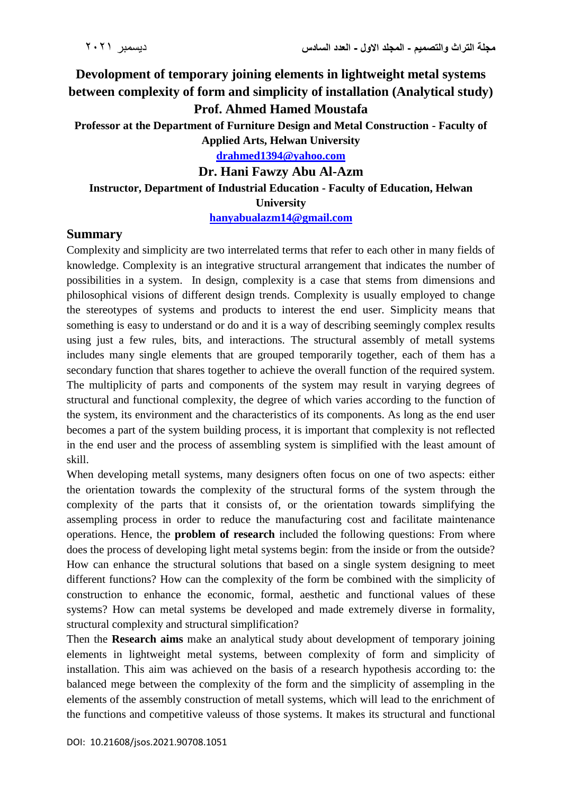# **Devolopment of temporary joining elements in lightweight metal systems between complexity of form and simplicity of installation (Analytical study) Prof. Ahmed Hamed Moustafa**

**Professor at the Department of Furniture Design and Metal Construction - Faculty of Applied Arts, Helwan University**

**[drahmed1394@yahoo.com](mailto:drahmed1394@yahoo.com)**

**Dr. Hani Fawzy Abu Al-Azm**

#### **Instructor, Department of Industrial Education - Faculty of Education, Helwan University**

**[hanyabualazm14@gmail.com](mailto:hanyabualazm14@gmail.com)**

#### **Summary**

Complexity and simplicity are two interrelated terms that refer to each other in many fields of knowledge. Complexity is an integrative structural arrangement that indicates the number of possibilities in a system. In design, complexity is a case that stems from dimensions and philosophical visions of different design trends. Complexity is usually employed to change the stereotypes of systems and products to interest the end user. Simplicity means that something is easy to understand or do and it is a way of describing seemingly complex results using just a few rules, bits, and interactions. The structural assembly of metall systems includes many single elements that are grouped temporarily together, each of them has a secondary function that shares together to achieve the overall function of the required system. The multiplicity of parts and components of the system may result in varying degrees of structural and functional complexity, the degree of which varies according to the function of the system, its environment and the characteristics of its components. As long as the end user becomes a part of the system building process, it is important that complexity is not reflected in the end user and the process of assembling system is simplified with the least amount of skill.

When developing metall systems, many designers often focus on one of two aspects: either the orientation towards the complexity of the structural forms of the system through the complexity of the parts that it consists of, or the orientation towards simplifying the assempling process in order to reduce the manufacturing cost and facilitate maintenance operations. Hence, the **problem of research** included the following questions: From where does the process of developing light metal systems begin: from the inside or from the outside? How can enhance the structural solutions that based on a single system designing to meet different functions? How can the complexity of the form be combined with the simplicity of construction to enhance the economic, formal, aesthetic and functional values of these systems? How can metal systems be developed and made extremely diverse in formality, structural complexity and structural simplification?

Then the **Research aims** make an analytical study about development of temporary joining elements in lightweight metal systems, between complexity of form and simplicity of installation. This aim was achieved on the basis of a research hypothesis according to: the balanced mege between the complexity of the form and the simplicity of assempling in the elements of the assembly construction of metall systems, which will lead to the enrichment of the functions and competitive valeuss of those systems. It makes its structural and functional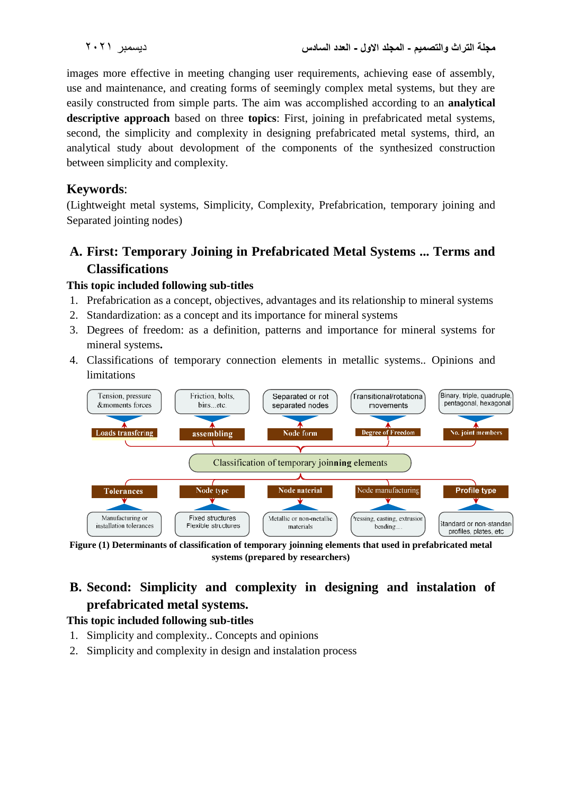images more effective in meeting changing user requirements, achieving ease of assembly, use and maintenance, and creating forms of seemingly complex metal systems, but they are easily constructed from simple parts. The aim was accomplished according to an **analytical descriptive approach** based on three **topics**: First, joining in prefabricated metal systems, second, the simplicity and complexity in designing prefabricated metal systems, third, an analytical study about devolopment of the components of the synthesized construction between simplicity and complexity.

### **Keywords**:

(Lightweight metal systems, Simplicity, Complexity, Prefabrication, temporary joining and Separated jointing nodes)

## **A. First: Temporary Joining in Prefabricated Metal Systems ... Terms and Classifications**

#### **This topic included following sub-titles**

- 1. Prefabrication as a concept, objectives, advantages and its relationship to mineral systems
- 2. Standardization: as a concept and its importance for mineral systems
- 3. Degrees of freedom: as a definition, patterns and importance for mineral systems for mineral systems**.**
- 4. Classifications of temporary connection elements in metallic systems.. Opinions and limitations



**Figure (1) Determinants of classification of temporary joinning elements that used in prefabricated metal systems (prepared by researchers)**

# **B. Second: Simplicity and complexity in designing and instalation of prefabricated metal systems.**

#### **This topic included following sub-titles**

- 1. Simplicity and complexity.. Concepts and opinions
- 2. Simplicity and complexity in design and instalation process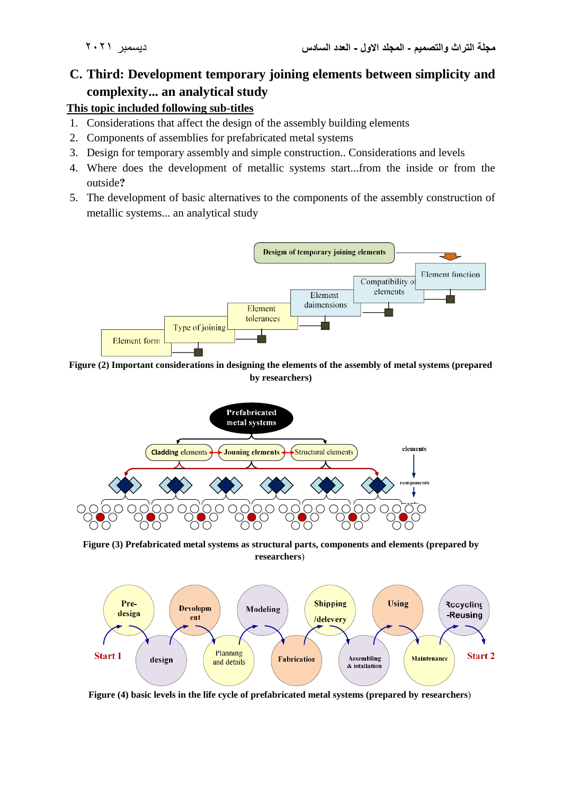# **C. Third: Development temporary joining elements between simplicity and complexity... an analytical study**

#### **This topic included following sub-titles**

- 1. Considerations that affect the design of the assembly building elements
- 2. Components of assemblies for prefabricated metal systems
- 3. Design for temporary assembly and simple construction.. Considerations and levels
- 4. Where does the development of metallic systems start...from the inside or from the outside**?**
- 5. The development of basic alternatives to the components of the assembly construction of metallic systems... an analytical study



**Figure (2) Important considerations in designing the elements of the assembly of metal systems (prepared by researchers)**



**Figure (3) Prefabricated metal systems as structural parts, components and elements (prepared by**   $researchers$ )



Figure (4) basic levels in the life cycle of prefabricated metal systems (prepared by researchers)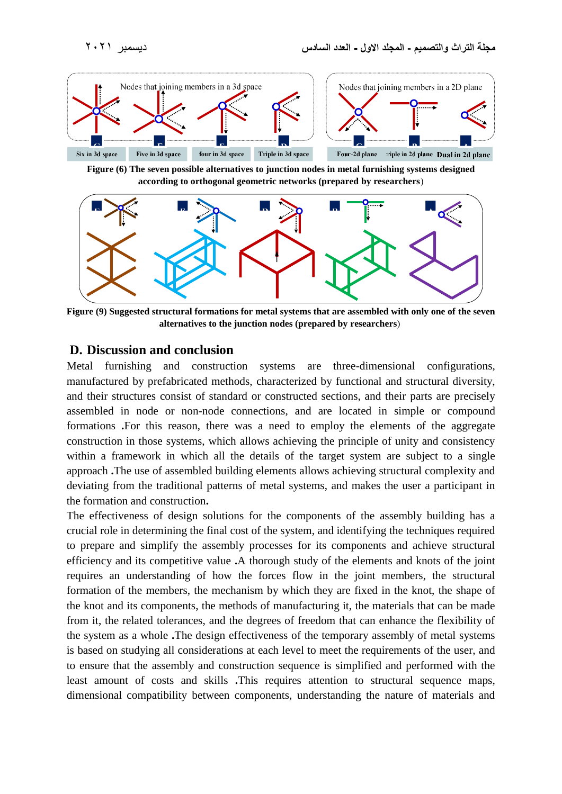

**Figure (6) The seven possible alternatives to junction nodes in metal furnishing systems designed**  according to orthogonal geometric networks (prepared by researchers)



**Figure (9) Suggested structural formations for metal systems that are assembled with only one of the seven**  alternatives to the junction nodes (prepared by researchers)

#### **D. Discussion and conclusion**

Metal furnishing and construction systems are three-dimensional configurations, manufactured by prefabricated methods, characterized by functional and structural diversity, and their structures consist of standard or constructed sections, and their parts are precisely assembled in node or non-node connections, and are located in simple or compound formations **.**For this reason, there was a need to employ the elements of the aggregate construction in those systems, which allows achieving the principle of unity and consistency within a framework in which all the details of the target system are subject to a single approach **.**The use of assembled building elements allows achieving structural complexity and deviating from the traditional patterns of metal systems, and makes the user a participant in the formation and construction**.**

The effectiveness of design solutions for the components of the assembly building has a crucial role in determining the final cost of the system, and identifying the techniques required to prepare and simplify the assembly processes for its components and achieve structural efficiency and its competitive value **.**A thorough study of the elements and knots of the joint requires an understanding of how the forces flow in the joint members, the structural formation of the members, the mechanism by which they are fixed in the knot, the shape of the knot and its components, the methods of manufacturing it, the materials that can be made from it, the related tolerances, and the degrees of freedom that can enhance the flexibility of the system as a whole **.**The design effectiveness of the temporary assembly of metal systems is based on studying all considerations at each level to meet the requirements of the user, and to ensure that the assembly and construction sequence is simplified and performed with the least amount of costs and skills **.**This requires attention to structural sequence maps, dimensional compatibility between components, understanding the nature of materials and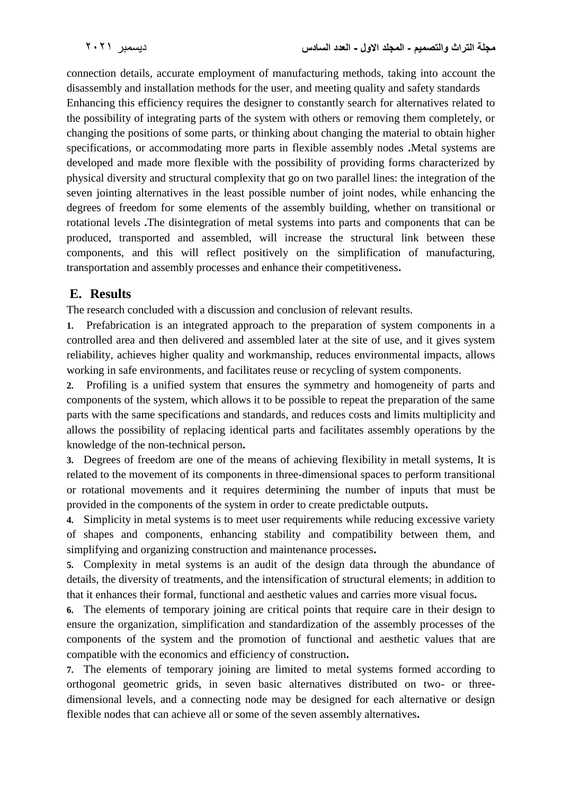connection details, accurate employment of manufacturing methods, taking into account the disassembly and installation methods for the user, and meeting quality and safety standards

Enhancing this efficiency requires the designer to constantly search for alternatives related to the possibility of integrating parts of the system with others or removing them completely, or changing the positions of some parts, or thinking about changing the material to obtain higher specifications, or accommodating more parts in flexible assembly nodes **.**Metal systems are developed and made more flexible with the possibility of providing forms characterized by physical diversity and structural complexity that go on two parallel lines: the integration of the seven jointing alternatives in the least possible number of joint nodes, while enhancing the degrees of freedom for some elements of the assembly building, whether on transitional or rotational levels **.**The disintegration of metal systems into parts and components that can be produced, transported and assembled, will increase the structural link between these components, and this will reflect positively on the simplification of manufacturing, transportation and assembly processes and enhance their competitiveness**.**

### **E. Results**

The research concluded with a discussion and conclusion of relevant results.

**1.** Prefabrication is an integrated approach to the preparation of system components in a controlled area and then delivered and assembled later at the site of use, and it gives system reliability, achieves higher quality and workmanship, reduces environmental impacts, allows working in safe environments, and facilitates reuse or recycling of system components.

**2.** Profiling is a unified system that ensures the symmetry and homogeneity of parts and components of the system, which allows it to be possible to repeat the preparation of the same parts with the same specifications and standards, and reduces costs and limits multiplicity and allows the possibility of replacing identical parts and facilitates assembly operations by the knowledge of the non-technical person**.**

**3.** Degrees of freedom are one of the means of achieving flexibility in metall systems, It is related to the movement of its components in three-dimensional spaces to perform transitional or rotational movements and it requires determining the number of inputs that must be provided in the components of the system in order to create predictable outputs**.**

**4.** Simplicity in metal systems is to meet user requirements while reducing excessive variety of shapes and components, enhancing stability and compatibility between them, and simplifying and organizing construction and maintenance processes**.**

**5.** Complexity in metal systems is an audit of the design data through the abundance of details, the diversity of treatments, and the intensification of structural elements; in addition to that it enhances their formal, functional and aesthetic values and carries more visual focus**.**

**6.** The elements of temporary joining are critical points that require care in their design to ensure the organization, simplification and standardization of the assembly processes of the components of the system and the promotion of functional and aesthetic values that are compatible with the economics and efficiency of construction**.**

**7.** The elements of temporary joining are limited to metal systems formed according to orthogonal geometric grids, in seven basic alternatives distributed on two- or threedimensional levels, and a connecting node may be designed for each alternative or design flexible nodes that can achieve all or some of the seven assembly alternatives**.**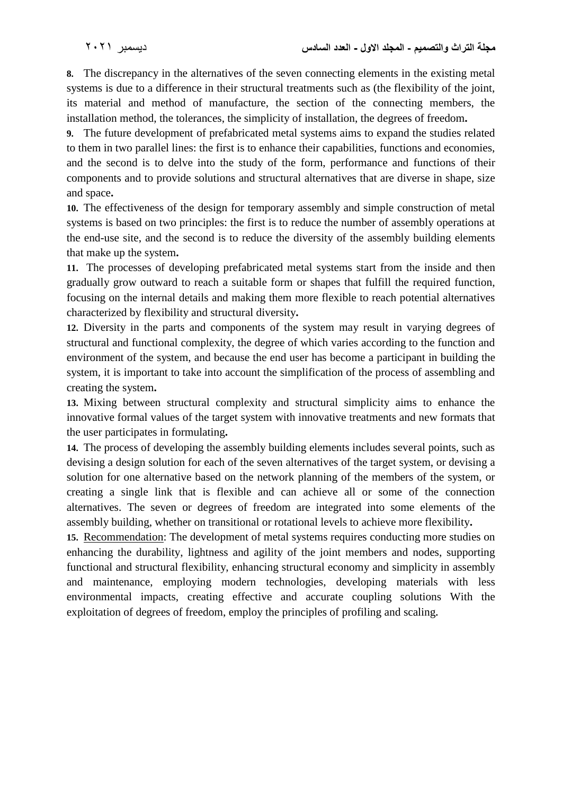**8.** The discrepancy in the alternatives of the seven connecting elements in the existing metal systems is due to a difference in their structural treatments such as (the flexibility of the joint, its material and method of manufacture, the section of the connecting members, the installation method, the tolerances, the simplicity of installation, the degrees of freedom**.**

**9.** The future development of prefabricated metal systems aims to expand the studies related to them in two parallel lines: the first is to enhance their capabilities, functions and economies, and the second is to delve into the study of the form, performance and functions of their components and to provide solutions and structural alternatives that are diverse in shape, size and space**.**

**10.** The effectiveness of the design for temporary assembly and simple construction of metal systems is based on two principles: the first is to reduce the number of assembly operations at the end-use site, and the second is to reduce the diversity of the assembly building elements that make up the system**.**

**11.** The processes of developing prefabricated metal systems start from the inside and then gradually grow outward to reach a suitable form or shapes that fulfill the required function, focusing on the internal details and making them more flexible to reach potential alternatives characterized by flexibility and structural diversity**.**

**12.** Diversity in the parts and components of the system may result in varying degrees of structural and functional complexity, the degree of which varies according to the function and environment of the system, and because the end user has become a participant in building the system, it is important to take into account the simplification of the process of assembling and creating the system**.**

**13.** Mixing between structural complexity and structural simplicity aims to enhance the innovative formal values of the target system with innovative treatments and new formats that the user participates in formulating**.**

**14.** The process of developing the assembly building elements includes several points, such as devising a design solution for each of the seven alternatives of the target system, or devising a solution for one alternative based on the network planning of the members of the system, or creating a single link that is flexible and can achieve all or some of the connection alternatives. The seven or degrees of freedom are integrated into some elements of the assembly building, whether on transitional or rotational levels to achieve more flexibility**.**

**15.** Recommendation: The development of metal systems requires conducting more studies on enhancing the durability, lightness and agility of the joint members and nodes, supporting functional and structural flexibility, enhancing structural economy and simplicity in assembly and maintenance, employing modern technologies, developing materials with less environmental impacts, creating effective and accurate coupling solutions With the exploitation of degrees of freedom, employ the principles of profiling and scaling**.**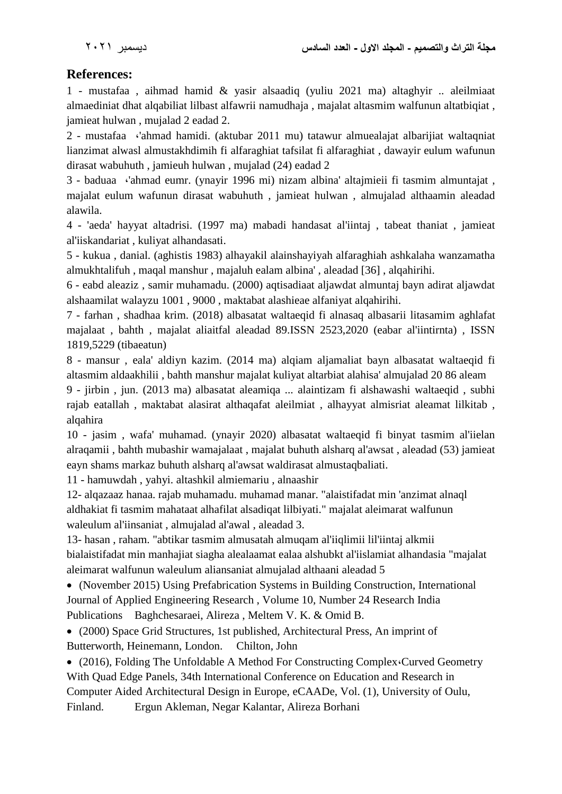### **References:**

1 - mustafaa , aihmad hamid & yasir alsaadiq (yuliu 2021 ma) altaghyir .. aleilmiaat almaediniat dhat alqabiliat lilbast alfawrii namudhaja , majalat altasmim walfunun altatbiqiat , jamieat hulwan , mujalad 2 eadad 2.

2 - mustafaa **،**'ahmad hamidi. (aktubar 2011 mu) tatawur almuealajat albarijiat waltaqniat lianzimat alwasl almustakhdimih fi alfaraghiat tafsilat fi alfaraghiat , dawayir eulum wafunun dirasat wabuhuth , jamieuh hulwan , mujalad (24) eadad 2

3 - baduaa **،**'ahmad eumr. (ynayir 1996 mi) nizam albina' altajmieii fi tasmim almuntajat , majalat eulum wafunun dirasat wabuhuth , jamieat hulwan , almujalad althaamin aleadad alawila.

4 - 'aeda' hayyat altadrisi. (1997 ma) mabadi handasat al'iintaj , tabeat thaniat , jamieat al'iiskandariat , kuliyat alhandasati.

5 - kukua , danial. (aghistis 1983) alhayakil alainshayiyah alfaraghiah ashkalaha wanzamatha almukhtalifuh , maqal manshur , majaluh ealam albina' , aleadad [36] , alqahirihi.

6 - eabd aleaziz , samir muhamadu. (2000) aqtisadiaat aljawdat almuntaj bayn adirat aljawdat alshaamilat walayzu 1001 , 9000 , maktabat alashieae alfaniyat alqahirihi.

7 - farhan , shadhaa krim. (2018) albasatat waltaeqid fi alnasaq albasarii litasamim aghlafat majalaat , bahth , majalat aliaitfal aleadad 89.ISSN 2523,2020 (eabar al'iintirnta) , ISSN 1819,5229 (tibaeatun)

8 - mansur , eala' aldiyn kazim. (2014 ma) alqiam aljamaliat bayn albasatat waltaeqid fi altasmim aldaakhilii , bahth manshur majalat kuliyat altarbiat alahisa' almujalad 20 86 aleam

9 - jirbin , jun. (2013 ma) albasatat aleamiqa ... alaintizam fi alshawashi waltaeqid , subhi rajab eatallah , maktabat alasirat althaqafat aleilmiat , alhayyat almisriat aleamat lilkitab , alqahira

10 - jasim , wafa' muhamad. (ynayir 2020) albasatat waltaeqid fi binyat tasmim al'iielan alraqamii , bahth mubashir wamajalaat , majalat buhuth alsharq al'awsat , aleadad (53) jamieat eayn shams markaz buhuth alsharq al'awsat waldirasat almustaqbaliati.

11 - hamuwdah , yahyi. altashkil almiemariu , alnaashir

12- alqazaaz hanaa. rajab muhamadu. muhamad manar. "alaistifadat min 'anzimat alnaql aldhakiat fi tasmim mahataat alhafilat alsadiqat lilbiyati." majalat aleimarat walfunun waleulum al'iinsaniat , almujalad al'awal , aleadad 3.

13- hasan , raham. "abtikar tasmim almusatah almuqam al'iiqlimii lil'iintaj alkmii bialaistifadat min manhajiat siagha alealaamat ealaa alshubkt al'iislamiat alhandasia "majalat aleimarat walfunun waleulum aliansaniat almujalad althaani aleadad 5

 (November 2015) Using Prefabrication Systems in Building Construction, International Journal of Applied Engineering Research , Volume 10, Number 24 Research India Publications Baghchesaraei, Alireza , Meltem V. K. & Omid B.

 (2000) Space Grid Structures, 1st published, Architectural Press, An imprint of Butterworth, Heinemann, London. Chilton, John

 (2016), Folding The Unfoldable A Method For Constructing Complex**،**Curved Geometry With Quad Edge Panels, 34th International Conference on Education and Research in Computer Aided Architectural Design in Europe, eCAADe, Vol. (1), University of Oulu, Finland. Ergun Akleman, Negar Kalantar, Alireza Borhani